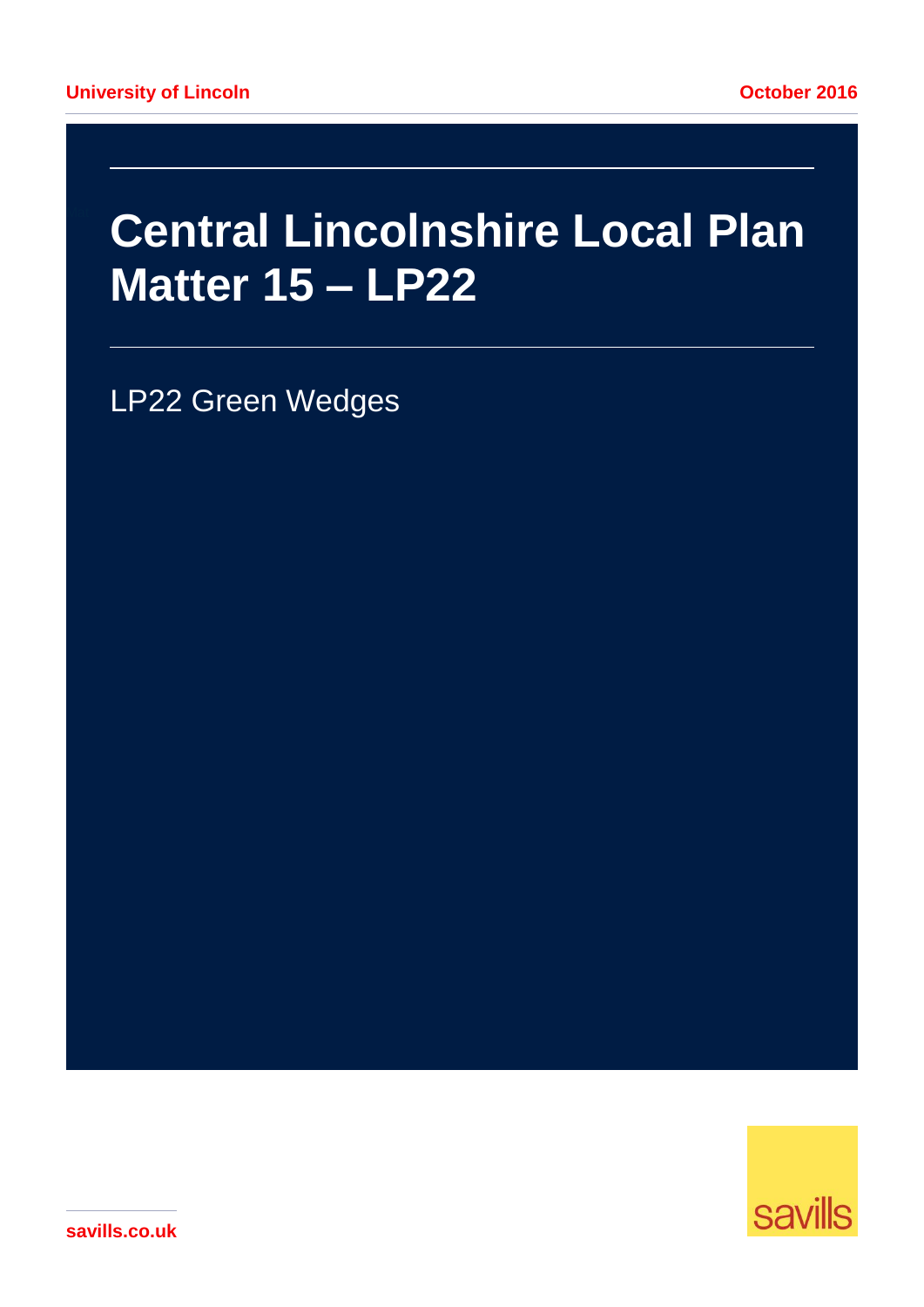# **Central Lincolnshire Local Plan** Matter 15 - LP22

LP22 Green Wedges



savills.co.uk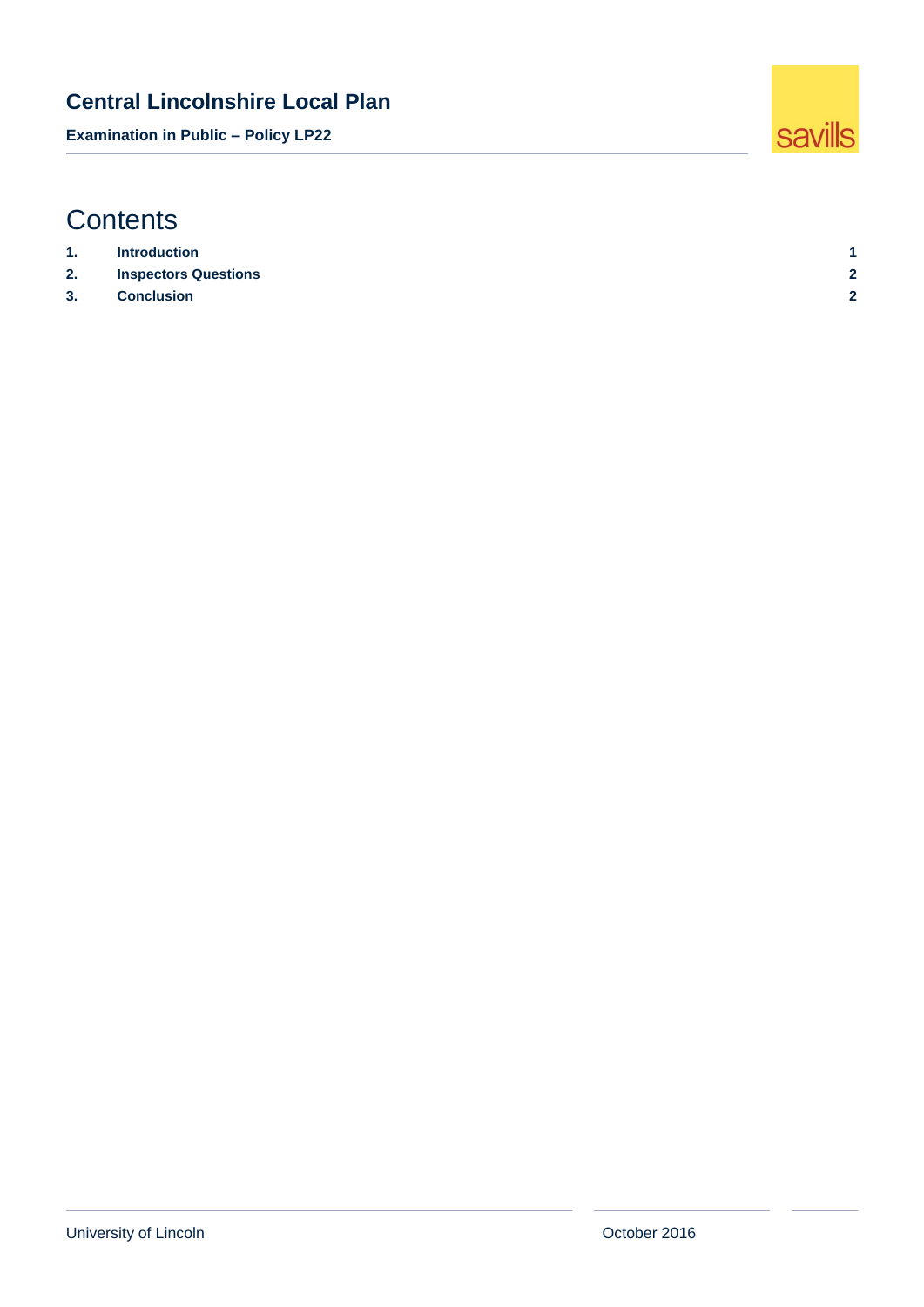**Examination in Public – Policy LP22**

# **Contents**

| 1. | <b>Introduction</b>         |     |
|----|-----------------------------|-----|
| 2. | <b>Inspectors Questions</b> | c   |
| 3. | <b>Conclusion</b>           | . . |

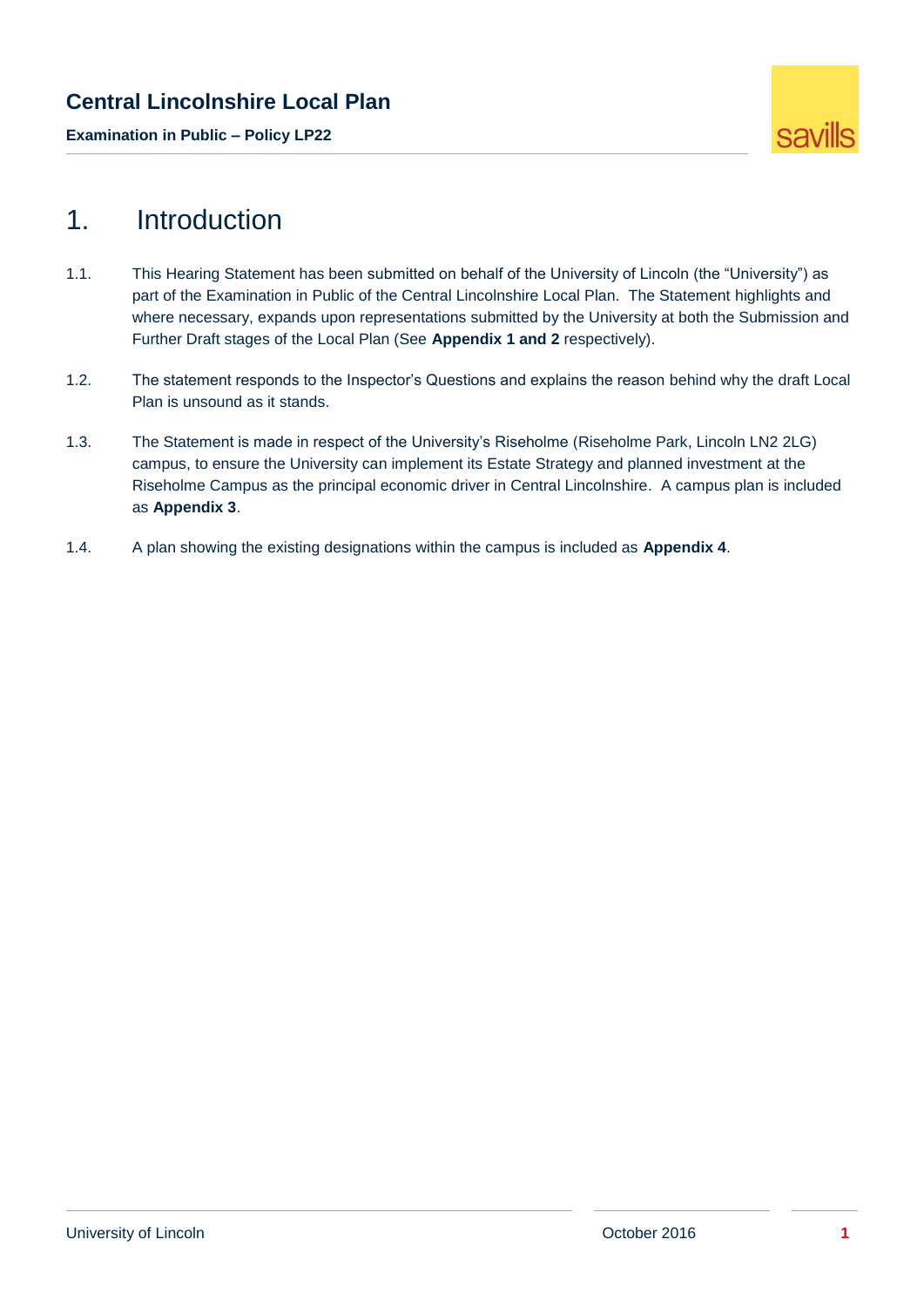**Examination in Public – Policy LP22**



# <span id="page-2-0"></span>1. Introduction

- 1.1. This Hearing Statement has been submitted on behalf of the University of Lincoln (the "University") as part of the Examination in Public of the Central Lincolnshire Local Plan. The Statement highlights and where necessary, expands upon representations submitted by the University at both the Submission and Further Draft stages of the Local Plan (See **Appendix 1 and 2** respectively).
- 1.2. The statement responds to the Inspector's Questions and explains the reason behind why the draft Local Plan is unsound as it stands.
- 1.3. The Statement is made in respect of the University's Riseholme (Riseholme Park, Lincoln LN2 2LG) campus, to ensure the University can implement its Estate Strategy and planned investment at the Riseholme Campus as the principal economic driver in Central Lincolnshire. A campus plan is included as **Appendix 3**.
- 1.4. A plan showing the existing designations within the campus is included as **Appendix 4**.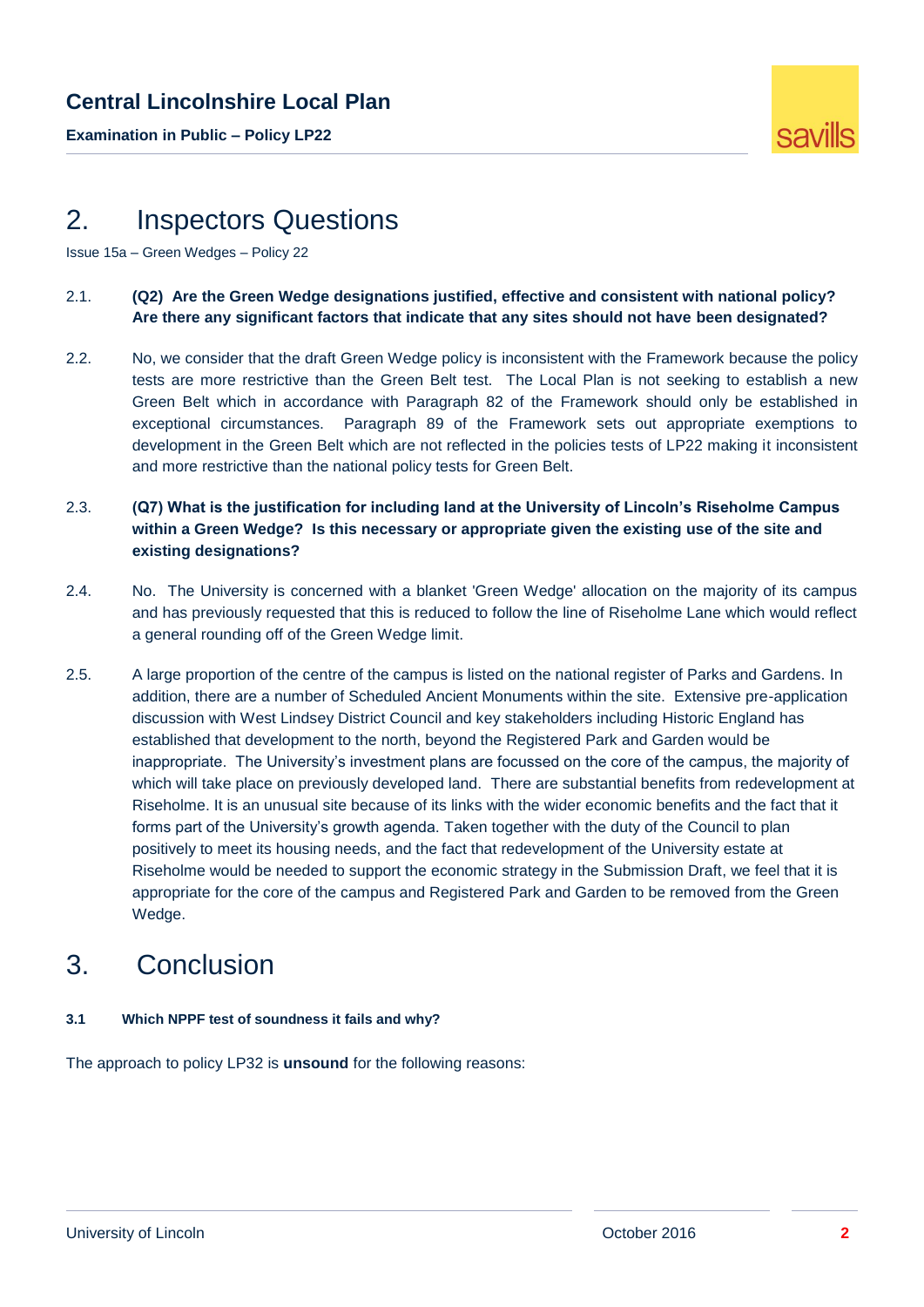**Examination in Public – Policy LP22**



## <span id="page-3-0"></span>2. Inspectors Questions

Issue 15a – Green Wedges – Policy 22

- 2.1. **(Q2) Are the Green Wedge designations justified, effective and consistent with national policy? Are there any significant factors that indicate that any sites should not have been designated?**
- 2.2. No, we consider that the draft Green Wedge policy is inconsistent with the Framework because the policy tests are more restrictive than the Green Belt test. The Local Plan is not seeking to establish a new Green Belt which in accordance with Paragraph 82 of the Framework should only be established in exceptional circumstances. Paragraph 89 of the Framework sets out appropriate exemptions to development in the Green Belt which are not reflected in the policies tests of LP22 making it inconsistent and more restrictive than the national policy tests for Green Belt.
- 2.3. **(Q7) What is the justification for including land at the University of Lincoln's Riseholme Campus within a Green Wedge? Is this necessary or appropriate given the existing use of the site and existing designations?**
- 2.4. No. The University is concerned with a blanket 'Green Wedge' allocation on the majority of its campus and has previously requested that this is reduced to follow the line of Riseholme Lane which would reflect a general rounding off of the Green Wedge limit.
- 2.5. A large proportion of the centre of the campus is listed on the national register of Parks and Gardens. In addition, there are a number of Scheduled Ancient Monuments within the site. Extensive pre-application discussion with West Lindsey District Council and key stakeholders including Historic England has established that development to the north, beyond the Registered Park and Garden would be inappropriate. The University's investment plans are focussed on the core of the campus, the majority of which will take place on previously developed land. There are substantial benefits from redevelopment at Riseholme. It is an unusual site because of its links with the wider economic benefits and the fact that it forms part of the University's growth agenda. Taken together with the duty of the Council to plan positively to meet its housing needs, and the fact that redevelopment of the University estate at Riseholme would be needed to support the economic strategy in the Submission Draft, we feel that it is appropriate for the core of the campus and Registered Park and Garden to be removed from the Green Wedge.

# <span id="page-3-1"></span>3. Conclusion

#### **3.1 Which NPPF test of soundness it fails and why?**

The approach to policy LP32 is **unsound** for the following reasons: